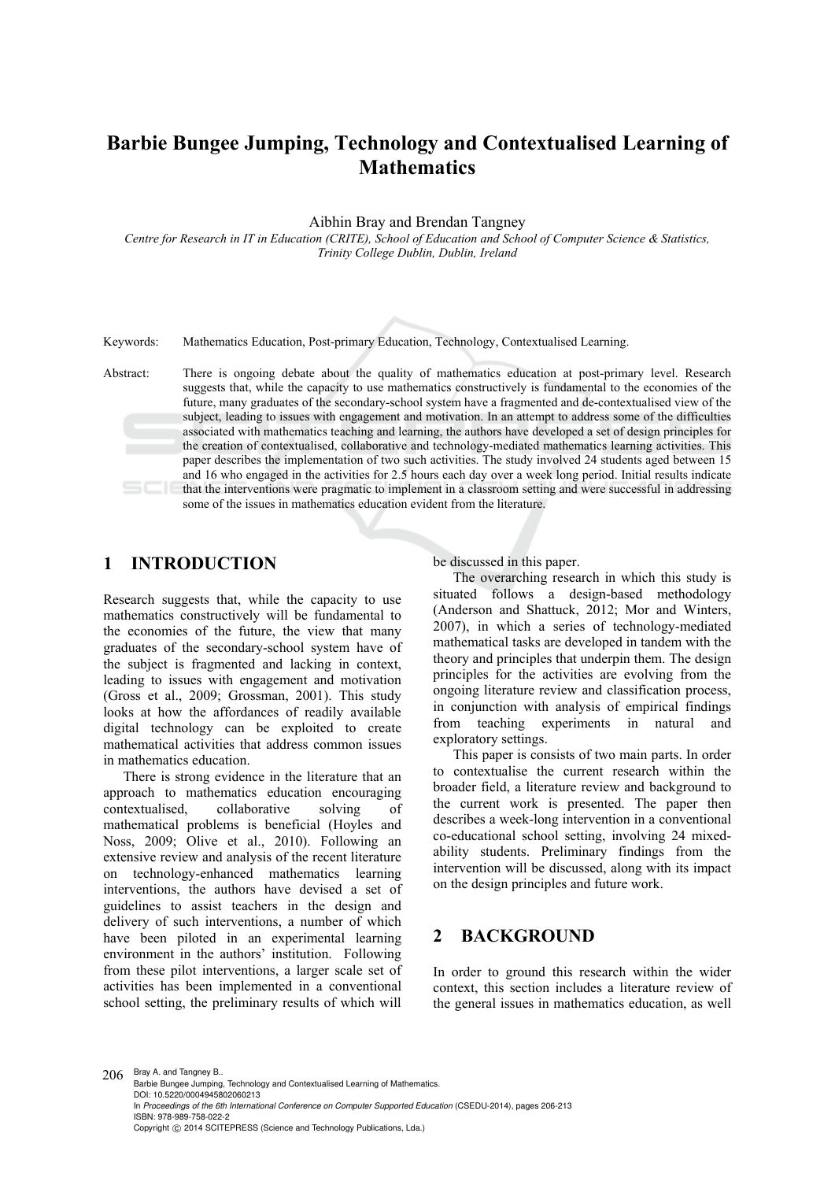# **Barbie Bungee Jumping, Technology and Contextualised Learning of Mathematics**

Aibhin Bray and Brendan Tangney

*Centre for Research in IT in Education (CRITE), School of Education and School of Computer Science & Statistics, Trinity College Dublin, Dublin, Ireland* 

Keywords: Mathematics Education, Post-primary Education, Technology, Contextualised Learning.

Abstract: There is ongoing debate about the quality of mathematics education at post-primary level. Research suggests that, while the capacity to use mathematics constructively is fundamental to the economies of the future, many graduates of the secondary-school system have a fragmented and de-contextualised view of the subject, leading to issues with engagement and motivation. In an attempt to address some of the difficulties associated with mathematics teaching and learning, the authors have developed a set of design principles for the creation of contextualised, collaborative and technology-mediated mathematics learning activities. This paper describes the implementation of two such activities. The study involved 24 students aged between 15 and 16 who engaged in the activities for 2.5 hours each day over a week long period. Initial results indicate that the interventions were pragmatic to implement in a classroom setting and were successful in addressing some of the issues in mathematics education evident from the literature.

#### **1 INTRODUCTION**

Research suggests that, while the capacity to use mathematics constructively will be fundamental to the economies of the future, the view that many graduates of the secondary-school system have of the subject is fragmented and lacking in context, leading to issues with engagement and motivation (Gross et al., 2009; Grossman, 2001). This study looks at how the affordances of readily available digital technology can be exploited to create mathematical activities that address common issues in mathematics education.

There is strong evidence in the literature that an approach to mathematics education encouraging contextualised, collaborative solving of mathematical problems is beneficial (Hoyles and Noss, 2009; Olive et al., 2010). Following an extensive review and analysis of the recent literature on technology-enhanced mathematics learning interventions, the authors have devised a set of guidelines to assist teachers in the design and delivery of such interventions, a number of which have been piloted in an experimental learning environment in the authors' institution. Following from these pilot interventions, a larger scale set of activities has been implemented in a conventional school setting, the preliminary results of which will

be discussed in this paper.

The overarching research in which this study is situated follows a design-based methodology (Anderson and Shattuck, 2012; Mor and Winters, 2007), in which a series of technology-mediated mathematical tasks are developed in tandem with the theory and principles that underpin them. The design principles for the activities are evolving from the ongoing literature review and classification process, in conjunction with analysis of empirical findings from teaching experiments in natural and exploratory settings.

This paper is consists of two main parts. In order to contextualise the current research within the broader field, a literature review and background to the current work is presented. The paper then describes a week-long intervention in a conventional co-educational school setting, involving 24 mixedability students. Preliminary findings from the intervention will be discussed, along with its impact on the design principles and future work.

#### **2 BACKGROUND**

In order to ground this research within the wider context, this section includes a literature review of the general issues in mathematics education, as well

206 Bray A. and Tangney B.. Barbie Bungee Jumping, Technology and Contextualised Learning of Mathematics. DOI: 10.5220/0004945802060213 In *Proceedings of the 6th International Conference on Computer Supported Education* (CSEDU-2014), pages 206-213 ISBN: 978-989-758-022-2 Copyright (C) 2014 SCITEPRESS (Science and Technology Publications, Lda.)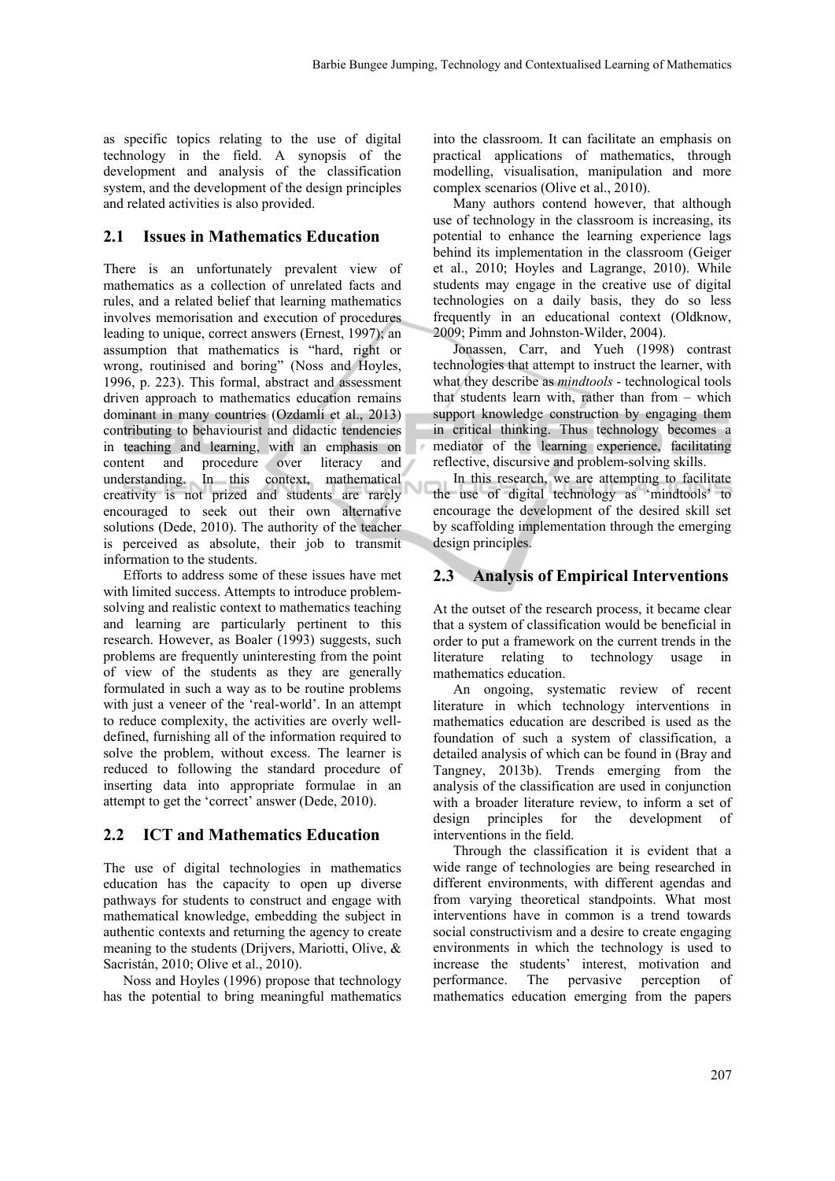as specific topics relating to the use of digital technology in the field. A synopsis of the development and analysis of the classification system, and the development of the design principles and related activities is also provided.

#### **2.1 Issues in Mathematics Education**

There is an unfortunately prevalent view of mathematics as a collection of unrelated facts and rules, and a related belief that learning mathematics involves memorisation and execution of procedures leading to unique, correct answers (Ernest, 1997); an assumption that mathematics is "hard, right or wrong, routinised and boring" (Noss and Hoyles, 1996, p. 223). This formal, abstract and assessment driven approach to mathematics education remains dominant in many countries (Ozdamli et al., 2013) contributing to behaviourist and didactic tendencies in teaching and learning, with an emphasis on content and procedure over literacy and understanding. In this context, mathematical creativity is not prized and students are rarely encouraged to seek out their own alternative solutions (Dede, 2010). The authority of the teacher is perceived as absolute, their job to transmit information to the students.

Efforts to address some of these issues have met with limited success. Attempts to introduce problemsolving and realistic context to mathematics teaching and learning are particularly pertinent to this research. However, as Boaler (1993) suggests, such problems are frequently uninteresting from the point of view of the students as they are generally formulated in such a way as to be routine problems with just a veneer of the 'real-world'. In an attempt to reduce complexity, the activities are overly welldefined, furnishing all of the information required to solve the problem, without excess. The learner is reduced to following the standard procedure of inserting data into appropriate formulae in an attempt to get the 'correct' answer (Dede, 2010).

#### **2.2 ICT and Mathematics Education**

The use of digital technologies in mathematics education has the capacity to open up diverse pathways for students to construct and engage with mathematical knowledge, embedding the subject in authentic contexts and returning the agency to create meaning to the students (Drijvers, Mariotti, Olive, & Sacristán, 2010; Olive et al., 2010).

Noss and Hoyles (1996) propose that technology has the potential to bring meaningful mathematics into the classroom. It can facilitate an emphasis on practical applications of mathematics, through modelling, visualisation, manipulation and more complex scenarios (Olive et al., 2010).

Many authors contend however, that although use of technology in the classroom is increasing, its potential to enhance the learning experience lags behind its implementation in the classroom (Geiger et al., 2010; Hoyles and Lagrange, 2010). While students may engage in the creative use of digital technologies on a daily basis, they do so less frequently in an educational context (Oldknow, 2009; Pimm and Johnston-Wilder, 2004).

Jonassen, Carr, and Yueh (1998) contrast technologies that attempt to instruct the learner, with what they describe as *mindtools* - technological tools that students learn with, rather than from – which support knowledge construction by engaging them in critical thinking. Thus technology becomes a mediator of the learning experience, facilitating reflective, discursive and problem-solving skills.

In this research, we are attempting to facilitate the use of digital technology as 'mindtools' to encourage the development of the desired skill set by scaffolding implementation through the emerging design principles.

#### **2.3 Analysis of Empirical Interventions**

At the outset of the research process, it became clear that a system of classification would be beneficial in order to put a framework on the current trends in the literature relating to technology usage in mathematics education.

An ongoing, systematic review of recent literature in which technology interventions in mathematics education are described is used as the foundation of such a system of classification, a detailed analysis of which can be found in (Bray and Tangney, 2013b). Trends emerging from the analysis of the classification are used in conjunction with a broader literature review, to inform a set of design principles for the development interventions in the field.

Through the classification it is evident that a wide range of technologies are being researched in different environments, with different agendas and from varying theoretical standpoints. What most interventions have in common is a trend towards social constructivism and a desire to create engaging environments in which the technology is used to increase the students' interest, motivation and performance. The pervasive perception of mathematics education emerging from the papers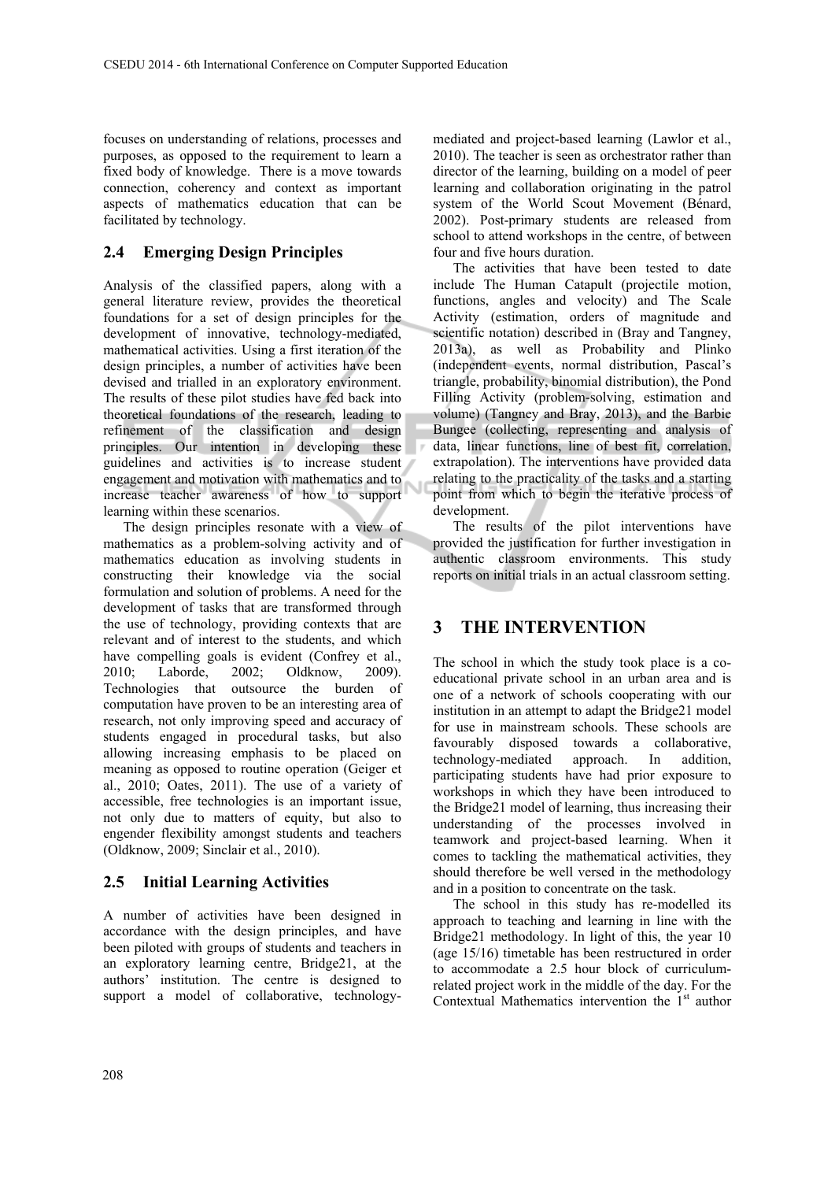focuses on understanding of relations, processes and purposes, as opposed to the requirement to learn a fixed body of knowledge. There is a move towards connection, coherency and context as important aspects of mathematics education that can be facilitated by technology.

### **2.4 Emerging Design Principles**

Analysis of the classified papers, along with a general literature review, provides the theoretical foundations for a set of design principles for the development of innovative, technology-mediated, mathematical activities. Using a first iteration of the design principles, a number of activities have been devised and trialled in an exploratory environment. The results of these pilot studies have fed back into theoretical foundations of the research, leading to refinement of the classification and design principles. Our intention in developing these guidelines and activities is to increase student engagement and motivation with mathematics and to increase teacher awareness of how to support learning within these scenarios.

The design principles resonate with a view of mathematics as a problem-solving activity and of mathematics education as involving students in constructing their knowledge via the social formulation and solution of problems. A need for the development of tasks that are transformed through the use of technology, providing contexts that are relevant and of interest to the students, and which have compelling goals is evident (Confrey et al., 2010; Laborde, 2002; Oldknow, 2009). Technologies that outsource the burden of computation have proven to be an interesting area of research, not only improving speed and accuracy of students engaged in procedural tasks, but also allowing increasing emphasis to be placed on meaning as opposed to routine operation (Geiger et al., 2010; Oates, 2011). The use of a variety of accessible, free technologies is an important issue, not only due to matters of equity, but also to engender flexibility amongst students and teachers (Oldknow, 2009; Sinclair et al., 2010).

#### **2.5 Initial Learning Activities**

A number of activities have been designed in accordance with the design principles, and have been piloted with groups of students and teachers in an exploratory learning centre, Bridge21, at the authors' institution. The centre is designed to support a model of collaborative, technology-

mediated and project-based learning (Lawlor et al., 2010). The teacher is seen as orchestrator rather than director of the learning, building on a model of peer learning and collaboration originating in the patrol system of the World Scout Movement (Bénard, 2002). Post-primary students are released from school to attend workshops in the centre, of between four and five hours duration.

The activities that have been tested to date include The Human Catapult (projectile motion, functions, angles and velocity) and The Scale Activity (estimation, orders of magnitude and scientific notation) described in (Bray and Tangney, 2013a), as well as Probability and Plinko (independent events, normal distribution, Pascal's triangle, probability, binomial distribution), the Pond Filling Activity (problem-solving, estimation and volume) (Tangney and Bray, 2013), and the Barbie Bungee (collecting, representing and analysis of data, linear functions, line of best fit, correlation, extrapolation). The interventions have provided data relating to the practicality of the tasks and a starting point from which to begin the iterative process of development.

The results of the pilot interventions have provided the justification for further investigation in authentic classroom environments. This study reports on initial trials in an actual classroom setting.

### **3 THE INTERVENTION**

The school in which the study took place is a coeducational private school in an urban area and is one of a network of schools cooperating with our institution in an attempt to adapt the Bridge21 model for use in mainstream schools. These schools are favourably disposed towards a collaborative, technology-mediated approach. In addition, participating students have had prior exposure to workshops in which they have been introduced to the Bridge21 model of learning, thus increasing their understanding of the processes involved in teamwork and project-based learning. When it comes to tackling the mathematical activities, they should therefore be well versed in the methodology and in a position to concentrate on the task.

The school in this study has re-modelled its approach to teaching and learning in line with the Bridge21 methodology. In light of this, the year 10 (age 15/16) timetable has been restructured in order to accommodate a 2.5 hour block of curriculumrelated project work in the middle of the day. For the Contextual Mathematics intervention the  $1<sup>st</sup>$  author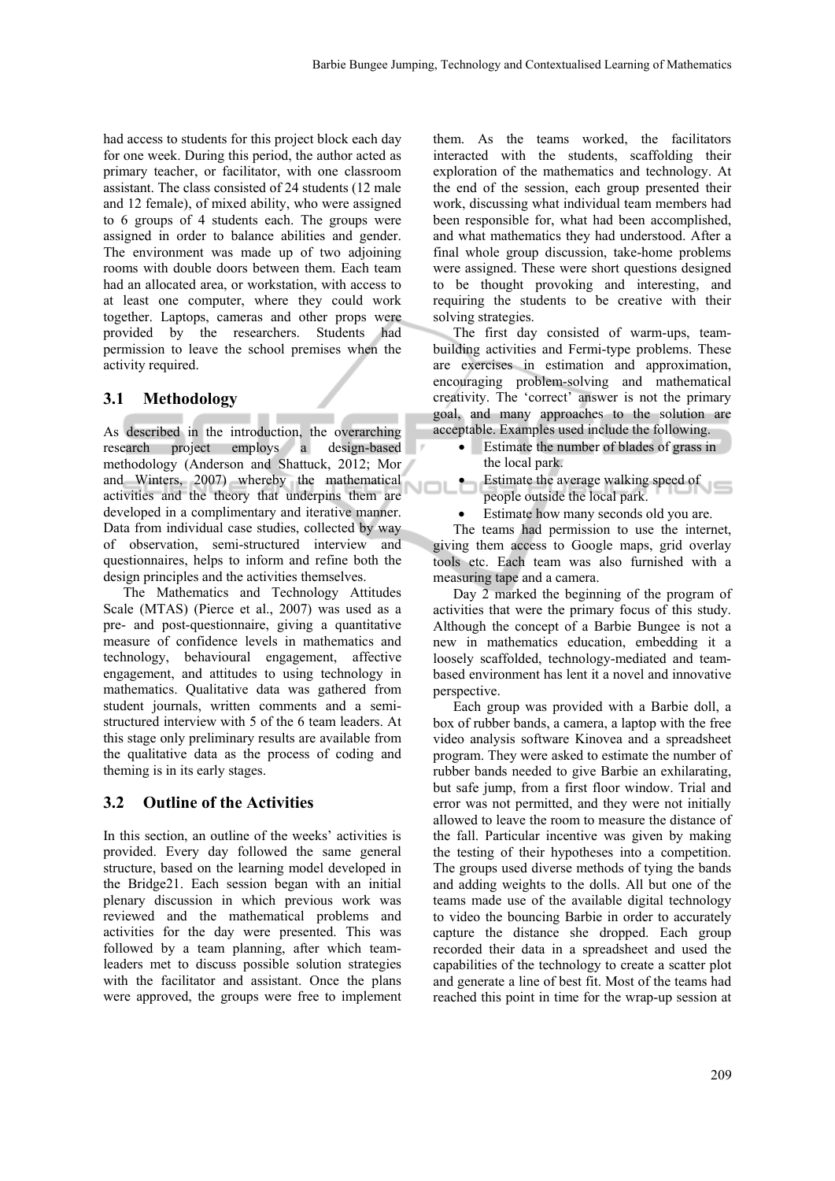had access to students for this project block each day for one week. During this period, the author acted as primary teacher, or facilitator, with one classroom assistant. The class consisted of 24 students (12 male and 12 female), of mixed ability, who were assigned to 6 groups of 4 students each. The groups were assigned in order to balance abilities and gender. The environment was made up of two adjoining rooms with double doors between them. Each team had an allocated area, or workstation, with access to at least one computer, where they could work together. Laptops, cameras and other props were provided by the researchers. Students had permission to leave the school premises when the activity required.

#### **3.1 Methodology**

As described in the introduction, the overarching research project employs a design-based methodology (Anderson and Shattuck, 2012; Mor and Winters, 2007) whereby the mathematical activities and the theory that underpins them are developed in a complimentary and iterative manner. Data from individual case studies, collected by way of observation, semi-structured interview and questionnaires, helps to inform and refine both the design principles and the activities themselves.

The Mathematics and Technology Attitudes Scale (MTAS) (Pierce et al., 2007) was used as a pre- and post-questionnaire, giving a quantitative measure of confidence levels in mathematics and technology, behavioural engagement, affective engagement, and attitudes to using technology in mathematics. Qualitative data was gathered from student journals, written comments and a semistructured interview with 5 of the 6 team leaders. At this stage only preliminary results are available from the qualitative data as the process of coding and theming is in its early stages.

#### **3.2 Outline of the Activities**

In this section, an outline of the weeks' activities is provided. Every day followed the same general structure, based on the learning model developed in the Bridge21. Each session began with an initial plenary discussion in which previous work was reviewed and the mathematical problems and activities for the day were presented. This was followed by a team planning, after which teamleaders met to discuss possible solution strategies with the facilitator and assistant. Once the plans were approved, the groups were free to implement

them. As the teams worked, the facilitators interacted with the students, scaffolding their exploration of the mathematics and technology. At the end of the session, each group presented their work, discussing what individual team members had been responsible for, what had been accomplished, and what mathematics they had understood. After a final whole group discussion, take-home problems were assigned. These were short questions designed to be thought provoking and interesting, and requiring the students to be creative with their solving strategies.

The first day consisted of warm-ups, teambuilding activities and Fermi-type problems. These are exercises in estimation and approximation, encouraging problem-solving and mathematical creativity. The 'correct' answer is not the primary goal, and many approaches to the solution are acceptable. Examples used include the following.

- Estimate the number of blades of grass in the local park.
- **•** Estimate the average walking speed of people outside the local park.
- Estimate how many seconds old you are.

The teams had permission to use the internet, giving them access to Google maps, grid overlay tools etc. Each team was also furnished with a measuring tape and a camera.

Day 2 marked the beginning of the program of activities that were the primary focus of this study. Although the concept of a Barbie Bungee is not a new in mathematics education, embedding it a loosely scaffolded, technology-mediated and teambased environment has lent it a novel and innovative perspective.

Each group was provided with a Barbie doll, a box of rubber bands, a camera, a laptop with the free video analysis software Kinovea and a spreadsheet program. They were asked to estimate the number of rubber bands needed to give Barbie an exhilarating, but safe jump, from a first floor window. Trial and error was not permitted, and they were not initially allowed to leave the room to measure the distance of the fall. Particular incentive was given by making the testing of their hypotheses into a competition. The groups used diverse methods of tying the bands and adding weights to the dolls. All but one of the teams made use of the available digital technology to video the bouncing Barbie in order to accurately capture the distance she dropped. Each group recorded their data in a spreadsheet and used the capabilities of the technology to create a scatter plot and generate a line of best fit. Most of the teams had reached this point in time for the wrap-up session at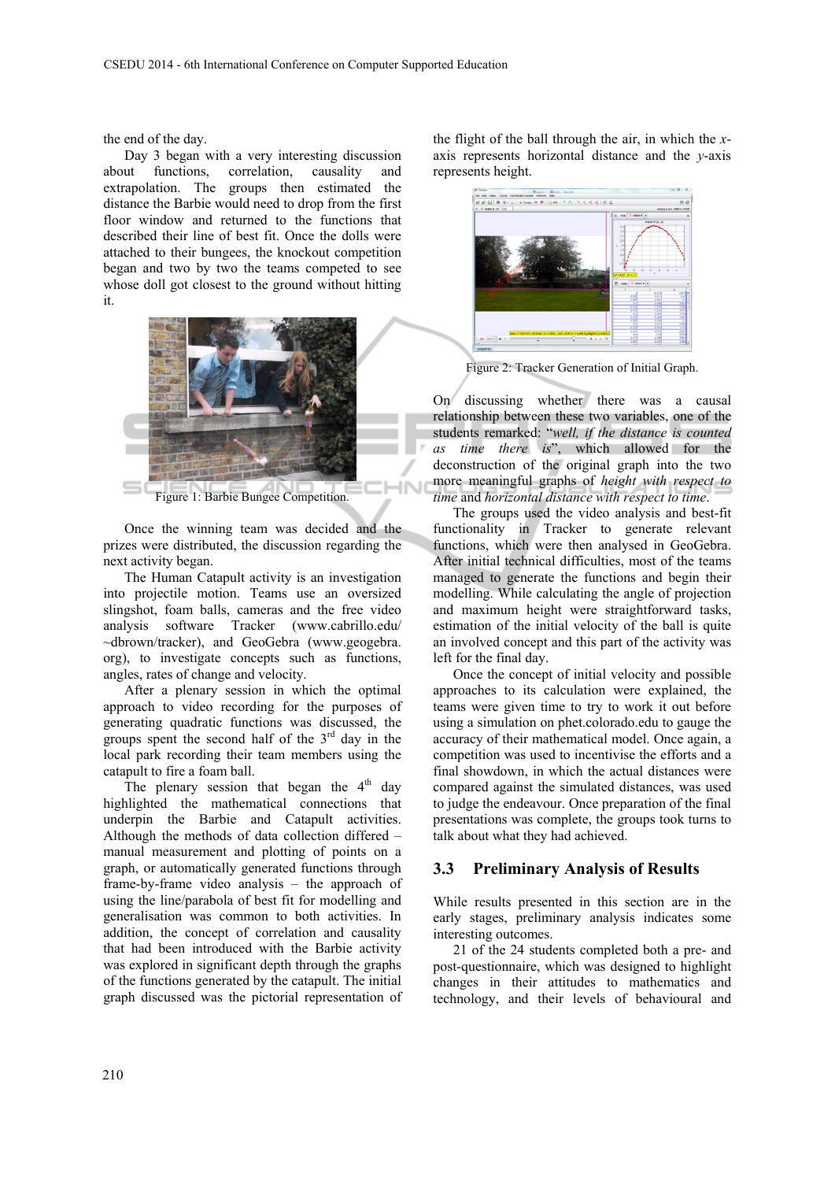the end of the day.

Day 3 began with a very interesting discussion about functions, correlation, causality and extrapolation. The groups then estimated the distance the Barbie would need to drop from the first floor window and returned to the functions that described their line of best fit. Once the dolls were attached to their bungees, the knockout competition began and two by two the teams competed to see whose doll got closest to the ground without hitting it.



Figure 1: Barbie Bungee Competition.

Once the winning team was decided and the prizes were distributed, the discussion regarding the next activity began.

The Human Catapult activity is an investigation into projectile motion. Teams use an oversized slingshot, foam balls, cameras and the free video analysis software Tracker (www.cabrillo.edu/ ~dbrown/tracker), and GeoGebra (www.geogebra. org), to investigate concepts such as functions, angles, rates of change and velocity.

After a plenary session in which the optimal approach to video recording for the purposes of generating quadratic functions was discussed, the groups spent the second half of the  $3<sup>rd</sup>$  day in the local park recording their team members using the catapult to fire a foam ball.

The plenary session that began the  $4<sup>th</sup>$  day highlighted the mathematical connections that underpin the Barbie and Catapult activities. Although the methods of data collection differed – manual measurement and plotting of points on a graph, or automatically generated functions through frame-by-frame video analysis – the approach of using the line/parabola of best fit for modelling and generalisation was common to both activities. In addition, the concept of correlation and causality that had been introduced with the Barbie activity was explored in significant depth through the graphs of the functions generated by the catapult. The initial graph discussed was the pictorial representation of

the flight of the ball through the air, in which the *x*axis represents horizontal distance and the *y*-axis represents height.



Figure 2: Tracker Generation of Initial Graph.

On discussing whether there was a causal relationship between these two variables, one of the students remarked: "*well, if the distance is counted as time there is*", which allowed for the deconstruction of the original graph into the two more meaningful graphs of *height with respect to time* and *horizontal distance with respect to time*.

The groups used the video analysis and best-fit functionality in Tracker to generate relevant functions, which were then analysed in GeoGebra. After initial technical difficulties, most of the teams managed to generate the functions and begin their modelling. While calculating the angle of projection and maximum height were straightforward tasks, estimation of the initial velocity of the ball is quite an involved concept and this part of the activity was left for the final day.

Once the concept of initial velocity and possible approaches to its calculation were explained, the teams were given time to try to work it out before using a simulation on phet.colorado.edu to gauge the accuracy of their mathematical model. Once again, a competition was used to incentivise the efforts and a final showdown, in which the actual distances were compared against the simulated distances, was used to judge the endeavour. Once preparation of the final presentations was complete, the groups took turns to talk about what they had achieved.

#### **3.3 Preliminary Analysis of Results**

While results presented in this section are in the early stages, preliminary analysis indicates some interesting outcomes.

21 of the 24 students completed both a pre- and post-questionnaire, which was designed to highlight changes in their attitudes to mathematics and technology, and their levels of behavioural and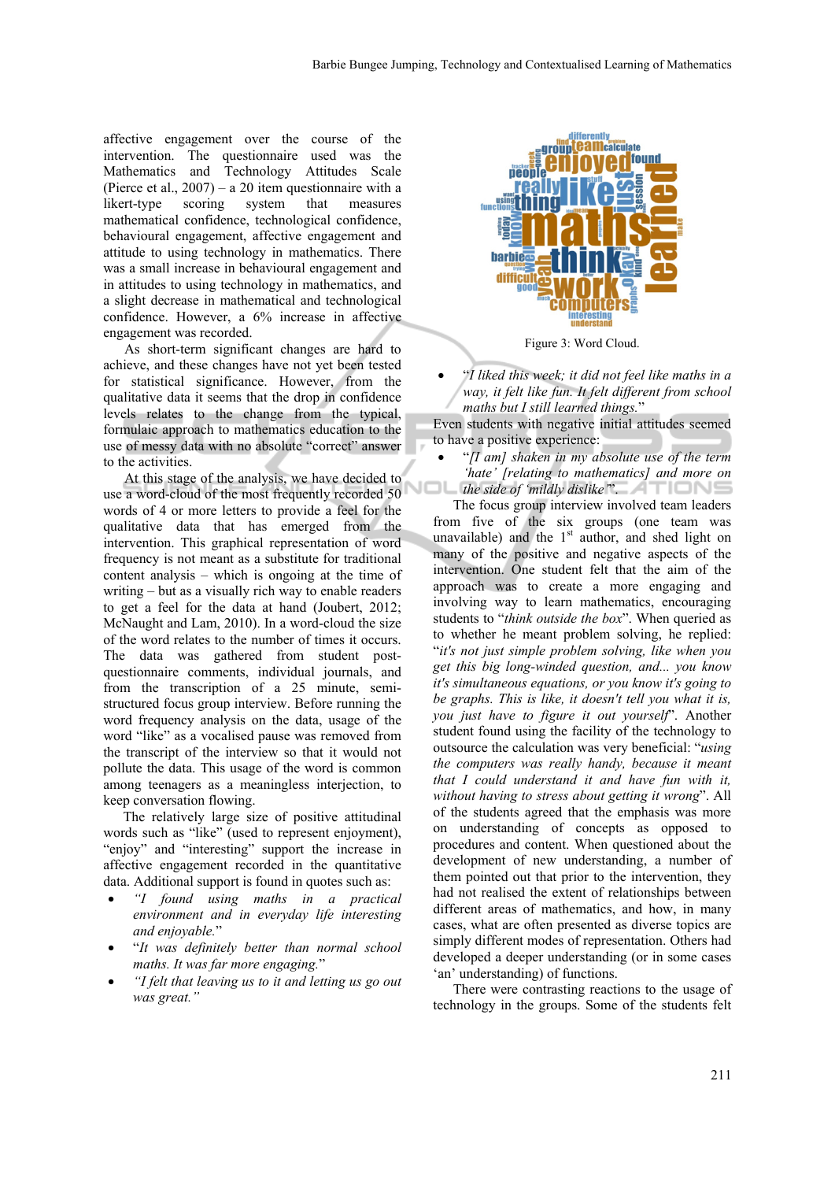affective engagement over the course of the intervention. The questionnaire used was the Mathematics and Technology Attitudes Scale (Pierce et al., 2007) – a 20 item questionnaire with a likert-type scoring system that measures mathematical confidence, technological confidence, behavioural engagement, affective engagement and attitude to using technology in mathematics. There was a small increase in behavioural engagement and in attitudes to using technology in mathematics, and a slight decrease in mathematical and technological confidence. However, a 6% increase in affective engagement was recorded.

As short-term significant changes are hard to achieve, and these changes have not yet been tested for statistical significance. However, from the qualitative data it seems that the drop in confidence levels relates to the change from the typical, formulaic approach to mathematics education to the use of messy data with no absolute "correct" answer to the activities.

At this stage of the analysis, we have decided to use a word-cloud of the most frequently recorded 50 words of 4 or more letters to provide a feel for the qualitative data that has emerged from the intervention. This graphical representation of word frequency is not meant as a substitute for traditional content analysis – which is ongoing at the time of writing – but as a visually rich way to enable readers to get a feel for the data at hand (Joubert, 2012; McNaught and Lam, 2010). In a word-cloud the size of the word relates to the number of times it occurs. The data was gathered from student postquestionnaire comments, individual journals, and from the transcription of a 25 minute, semistructured focus group interview. Before running the word frequency analysis on the data, usage of the word "like" as a vocalised pause was removed from the transcript of the interview so that it would not pollute the data. This usage of the word is common among teenagers as a meaningless interjection, to keep conversation flowing.

The relatively large size of positive attitudinal words such as "like" (used to represent enjoyment), "enjoy" and "interesting" support the increase in affective engagement recorded in the quantitative data. Additional support is found in quotes such as:

- *"I found using maths in a practical environment and in everyday life interesting and enjoyable.*"
- "*It was definitely better than normal school maths. It was far more engaging.*"
- *"I felt that leaving us to it and letting us go out was great."*



Figure 3: Word Cloud.

 "*I liked this week; it did not feel like maths in a way, it felt like fun. It felt different from school maths but I still learned things.*"

Even students with negative initial attitudes seemed to have a positive experience:

 "*[I am] shaken in my absolute use of the term 'hate' [relating to mathematics] and more on the side of 'mildly dislike'*".

The focus group interview involved team leaders from five of the six groups (one team was unavailable) and the  $1<sup>st</sup>$  author, and shed light on many of the positive and negative aspects of the intervention. One student felt that the aim of the approach was to create a more engaging and involving way to learn mathematics, encouraging students to "*think outside the box*". When queried as to whether he meant problem solving, he replied: "*it's not just simple problem solving, like when you get this big long-winded question, and... you know it's simultaneous equations, or you know it's going to be graphs. This is like, it doesn't tell you what it is, you just have to figure it out yourself*". Another student found using the facility of the technology to outsource the calculation was very beneficial: "*using the computers was really handy, because it meant that I could understand it and have fun with it, without having to stress about getting it wrong*". All of the students agreed that the emphasis was more on understanding of concepts as opposed to procedures and content. When questioned about the development of new understanding, a number of them pointed out that prior to the intervention, they had not realised the extent of relationships between different areas of mathematics, and how, in many cases, what are often presented as diverse topics are simply different modes of representation. Others had developed a deeper understanding (or in some cases 'an' understanding) of functions.

There were contrasting reactions to the usage of technology in the groups. Some of the students felt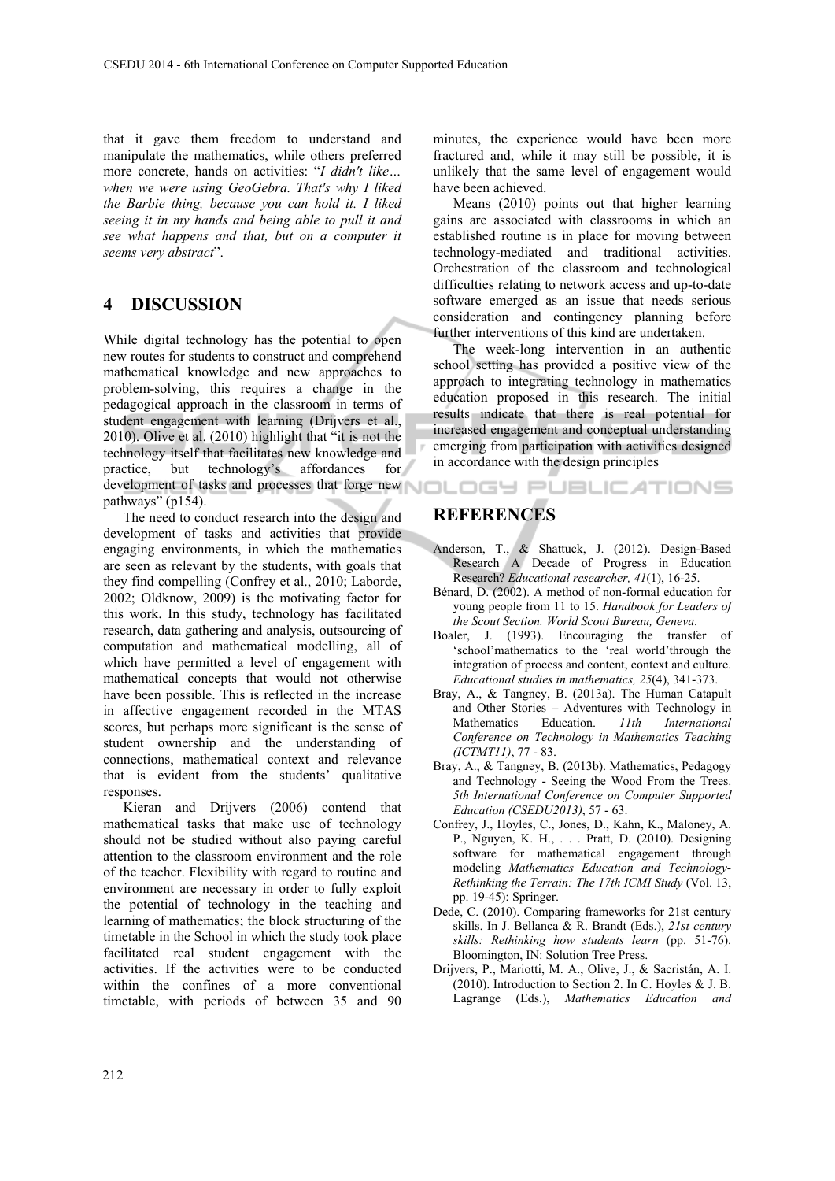that it gave them freedom to understand and manipulate the mathematics, while others preferred more concrete, hands on activities: "*I didn't like… when we were using GeoGebra. That's why I liked the Barbie thing, because you can hold it. I liked seeing it in my hands and being able to pull it and see what happens and that, but on a computer it seems very abstract*".

#### **4 DISCUSSION**

While digital technology has the potential to open new routes for students to construct and comprehend mathematical knowledge and new approaches to problem-solving, this requires a change in the pedagogical approach in the classroom in terms of student engagement with learning (Drijvers et al., 2010). Olive et al. (2010) highlight that "it is not the technology itself that facilitates new knowledge and practice, but technology's affordances for development of tasks and processes that forge new **NOLOGY PUBLICATIONS** pathways" (p154).

The need to conduct research into the design and development of tasks and activities that provide engaging environments, in which the mathematics are seen as relevant by the students, with goals that they find compelling (Confrey et al., 2010; Laborde, 2002; Oldknow, 2009) is the motivating factor for this work. In this study, technology has facilitated research, data gathering and analysis, outsourcing of computation and mathematical modelling, all of which have permitted a level of engagement with mathematical concepts that would not otherwise have been possible. This is reflected in the increase in affective engagement recorded in the MTAS scores, but perhaps more significant is the sense of student ownership and the understanding of connections, mathematical context and relevance that is evident from the students' qualitative responses.

Kieran and Drijvers (2006) contend that mathematical tasks that make use of technology should not be studied without also paying careful attention to the classroom environment and the role of the teacher. Flexibility with regard to routine and environment are necessary in order to fully exploit the potential of technology in the teaching and learning of mathematics; the block structuring of the timetable in the School in which the study took place facilitated real student engagement with the activities. If the activities were to be conducted within the confines of a more conventional timetable, with periods of between 35 and 90

minutes, the experience would have been more fractured and, while it may still be possible, it is unlikely that the same level of engagement would have been achieved.

Means (2010) points out that higher learning gains are associated with classrooms in which an established routine is in place for moving between technology-mediated and traditional activities. Orchestration of the classroom and technological difficulties relating to network access and up-to-date software emerged as an issue that needs serious consideration and contingency planning before further interventions of this kind are undertaken.

The week-long intervention in an authentic school setting has provided a positive view of the approach to integrating technology in mathematics education proposed in this research. The initial results indicate that there is real potential for increased engagement and conceptual understanding emerging from participation with activities designed in accordance with the design principles

## **REFERENCES**

- Anderson, T., & Shattuck, J. (2012). Design-Based Research A Decade of Progress in Education Research? *Educational researcher, 41*(1), 16-25.
- Bénard, D. (2002). A method of non-formal education for young people from 11 to 15. *Handbook for Leaders of the Scout Section. World Scout Bureau, Geneva*.
- Boaler, J. (1993). Encouraging the transfer of 'school'mathematics to the 'real world'through the integration of process and content, context and culture. *Educational studies in mathematics, 25*(4), 341-373.
- Bray, A., & Tangney, B. (2013a). The Human Catapult and Other Stories – Adventures with Technology in Mathematics Education. *11th International Conference on Technology in Mathematics Teaching (ICTMT11)*, 77 - 83.
- Bray, A., & Tangney, B. (2013b). Mathematics, Pedagogy and Technology - Seeing the Wood From the Trees. *5th International Conference on Computer Supported Education (CSEDU2013)*, 57 - 63.
- Confrey, J., Hoyles, C., Jones, D., Kahn, K., Maloney, A. P., Nguyen, K. H., . . . Pratt, D. (2010). Designing software for mathematical engagement through modeling *Mathematics Education and Technology-Rethinking the Terrain: The 17th ICMI Study* (Vol. 13, pp. 19-45): Springer.
- Dede, C. (2010). Comparing frameworks for 21st century skills. In J. Bellanca & R. Brandt (Eds.), *21st century skills: Rethinking how students learn* (pp. 51-76). Bloomington, IN: Solution Tree Press.
- Drijvers, P., Mariotti, M. A., Olive, J., & Sacristán, A. I. (2010). Introduction to Section 2. In C. Hoyles & J. B. Lagrange (Eds.), *Mathematics Education and*